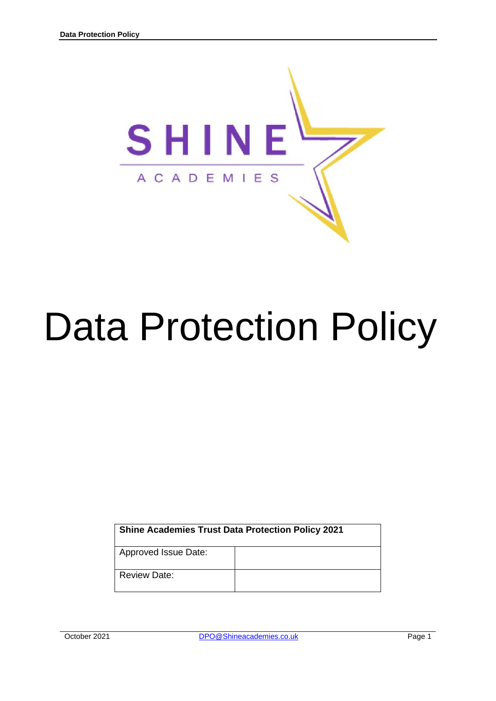

# Data Protection Policy

| <b>Shine Academies Trust Data Protection Policy 2021</b> |  |
|----------------------------------------------------------|--|
| Approved Issue Date:                                     |  |
| <b>Review Date:</b>                                      |  |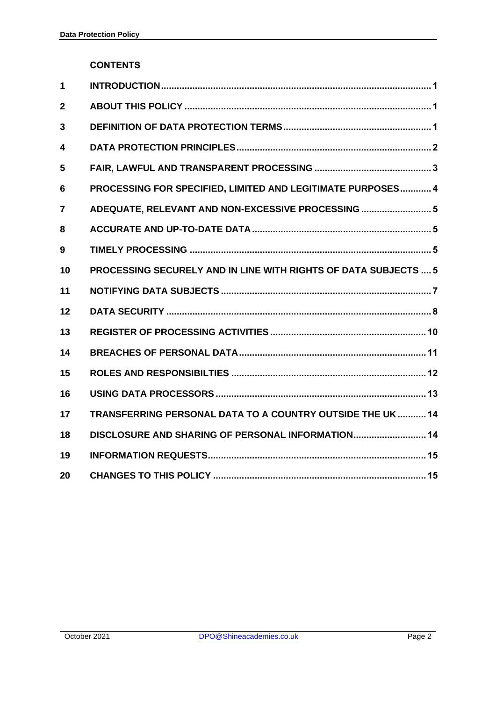## **CONTENTS**

| 1              |                                                                        |
|----------------|------------------------------------------------------------------------|
| $\overline{2}$ |                                                                        |
| 3              |                                                                        |
| 4              |                                                                        |
| 5              |                                                                        |
| 6              | PROCESSING FOR SPECIFIED, LIMITED AND LEGITIMATE PURPOSES 4            |
| 7              | ADEQUATE, RELEVANT AND NON-EXCESSIVE PROCESSING  5                     |
| 8              |                                                                        |
| 9              |                                                                        |
| 10             | <b>PROCESSING SECURELY AND IN LINE WITH RIGHTS OF DATA SUBJECTS  5</b> |
| 11             |                                                                        |
| 12             |                                                                        |
| 13             |                                                                        |
| 14             |                                                                        |
| 15             |                                                                        |
| 16             |                                                                        |
| 17             | TRANSFERRING PERSONAL DATA TO A COUNTRY OUTSIDE THE UK  14             |
| 18             | DISCLOSURE AND SHARING OF PERSONAL INFORMATION 14                      |
| 19             |                                                                        |
| 20             |                                                                        |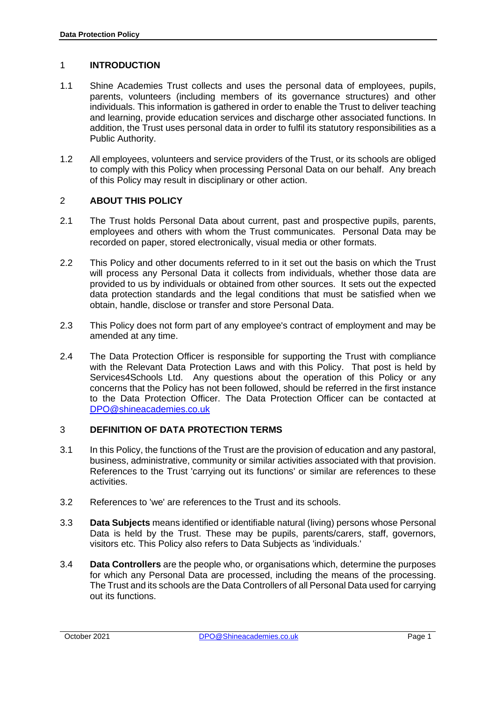## 1 **INTRODUCTION**

- 1.1 Shine Academies Trust collects and uses the personal data of employees, pupils, parents, volunteers (including members of its governance structures) and other individuals. This information is gathered in order to enable the Trust to deliver teaching and learning, provide education services and discharge other associated functions. In addition, the Trust uses personal data in order to fulfil its statutory responsibilities as a Public Authority.
- 1.2 All employees, volunteers and service providers of the Trust, or its schools are obliged to comply with this Policy when processing Personal Data on our behalf. Any breach of this Policy may result in disciplinary or other action.

# 2 **ABOUT THIS POLICY**

- 2.1 The Trust holds Personal Data about current, past and prospective pupils, parents, employees and others with whom the Trust communicates. Personal Data may be recorded on paper, stored electronically, visual media or other formats.
- 2.2 This Policy and other documents referred to in it set out the basis on which the Trust will process any Personal Data it collects from individuals, whether those data are provided to us by individuals or obtained from other sources. It sets out the expected data protection standards and the legal conditions that must be satisfied when we obtain, handle, disclose or transfer and store Personal Data.
- 2.3 This Policy does not form part of any employee's contract of employment and may be amended at any time.
- 2.4 The Data Protection Officer is responsible for supporting the Trust with compliance with the Relevant Data Protection Laws and with this Policy. That post is held by Services4Schools Ltd. Any questions about the operation of this Policy or any concerns that the Policy has not been followed, should be referred in the first instance to the Data Protection Officer. The Data Protection Officer can be contacted at [DPO@shineacademies.co.uk](mailto:DPO@wickersleypt.org)

# 3 **DEFINITION OF DATA PROTECTION TERMS**

- 3.1 In this Policy, the functions of the Trust are the provision of education and any pastoral, business, administrative, community or similar activities associated with that provision. References to the Trust 'carrying out its functions' or similar are references to these activities.
- 3.2 References to 'we' are references to the Trust and its schools.
- 3.3 **Data Subjects** means identified or identifiable natural (living) persons whose Personal Data is held by the Trust. These may be pupils, parents/carers, staff, governors, visitors etc. This Policy also refers to Data Subjects as 'individuals.'
- 3.4 **Data Controllers** are the people who, or organisations which, determine the purposes for which any Personal Data are processed, including the means of the processing. The Trust and its schools are the Data Controllers of all Personal Data used for carrying out its functions.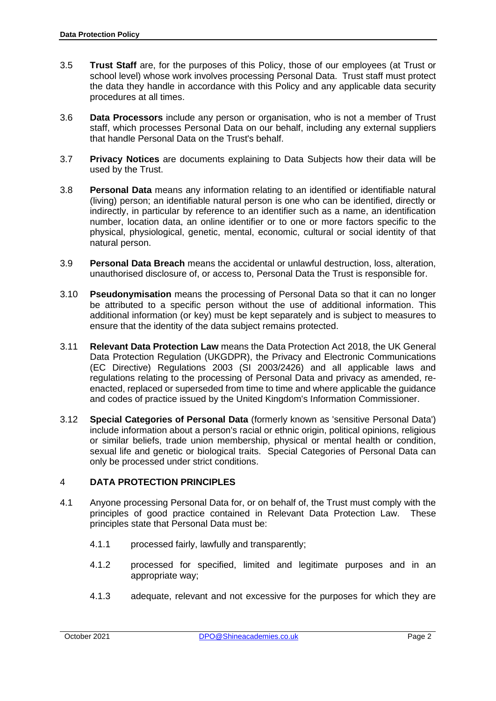- 3.5 **Trust Staff** are, for the purposes of this Policy, those of our employees (at Trust or school level) whose work involves processing Personal Data. Trust staff must protect the data they handle in accordance with this Policy and any applicable data security procedures at all times.
- 3.6 **Data Processors** include any person or organisation, who is not a member of Trust staff, which processes Personal Data on our behalf, including any external suppliers that handle Personal Data on the Trust's behalf.
- 3.7 **Privacy Notices** are documents explaining to Data Subjects how their data will be used by the Trust.
- 3.8 **Personal Data** means any information relating to an identified or identifiable natural (living) person; an identifiable natural person is one who can be identified, directly or indirectly, in particular by reference to an identifier such as a name, an identification number, location data, an online identifier or to one or more factors specific to the physical, physiological, genetic, mental, economic, cultural or social identity of that natural person.
- 3.9 **Personal Data Breach** means the accidental or unlawful destruction, loss, alteration, unauthorised disclosure of, or access to, Personal Data the Trust is responsible for.
- 3.10 **Pseudonymisation** means the processing of Personal Data so that it can no longer be attributed to a specific person without the use of additional information. This additional information (or key) must be kept separately and is subject to measures to ensure that the identity of the data subject remains protected.
- 3.11 **Relevant Data Protection Law** means the Data Protection Act 2018, the UK General Data Protection Regulation (UKGDPR), the Privacy and Electronic Communications (EC Directive) Regulations 2003 (SI 2003/2426) and all applicable laws and regulations relating to the processing of Personal Data and privacy as amended, reenacted, replaced or superseded from time to time and where applicable the guidance and codes of practice issued by the United Kingdom's Information Commissioner.
- 3.12 **Special Categories of Personal Data** (formerly known as 'sensitive Personal Data') include information about a person's racial or ethnic origin, political opinions, religious or similar beliefs, trade union membership, physical or mental health or condition, sexual life and genetic or biological traits. Special Categories of Personal Data can only be processed under strict conditions.

# 4 **DATA PROTECTION PRINCIPLES**

- 4.1 Anyone processing Personal Data for, or on behalf of, the Trust must comply with the principles of good practice contained in Relevant Data Protection Law. These principles state that Personal Data must be:
	- 4.1.1 processed fairly, lawfully and transparently;
	- 4.1.2 processed for specified, limited and legitimate purposes and in an appropriate way;
	- 4.1.3 adequate, relevant and not excessive for the purposes for which they are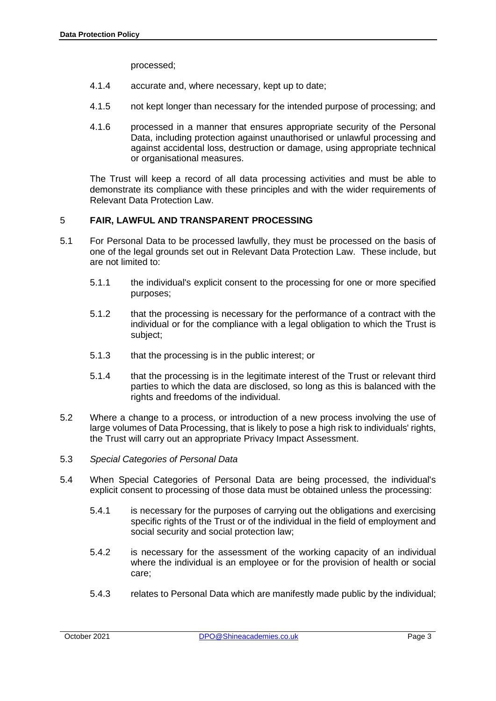processed;

- 4.1.4 accurate and, where necessary, kept up to date;
- 4.1.5 not kept longer than necessary for the intended purpose of processing; and
- 4.1.6 processed in a manner that ensures appropriate security of the Personal Data, including protection against unauthorised or unlawful processing and against accidental loss, destruction or damage, using appropriate technical or organisational measures.

The Trust will keep a record of all data processing activities and must be able to demonstrate its compliance with these principles and with the wider requirements of Relevant Data Protection Law.

# 5 **FAIR, LAWFUL AND TRANSPARENT PROCESSING**

- 5.1 For Personal Data to be processed lawfully, they must be processed on the basis of one of the legal grounds set out in Relevant Data Protection Law. These include, but are not limited to:
	- 5.1.1 the individual's explicit consent to the processing for one or more specified purposes;
	- 5.1.2 that the processing is necessary for the performance of a contract with the individual or for the compliance with a legal obligation to which the Trust is subject;
	- 5.1.3 that the processing is in the public interest; or
	- 5.1.4 that the processing is in the legitimate interest of the Trust or relevant third parties to which the data are disclosed, so long as this is balanced with the rights and freedoms of the individual.
- 5.2 Where a change to a process, or introduction of a new process involving the use of large volumes of Data Processing, that is likely to pose a high risk to individuals' rights, the Trust will carry out an appropriate Privacy Impact Assessment.
- 5.3 *Special Categories of Personal Data*
- 5.4 When Special Categories of Personal Data are being processed, the individual's explicit consent to processing of those data must be obtained unless the processing:
	- 5.4.1 is necessary for the purposes of carrying out the obligations and exercising specific rights of the Trust or of the individual in the field of employment and social security and social protection law;
	- 5.4.2 is necessary for the assessment of the working capacity of an individual where the individual is an employee or for the provision of health or social care;
	- 5.4.3 relates to Personal Data which are manifestly made public by the individual;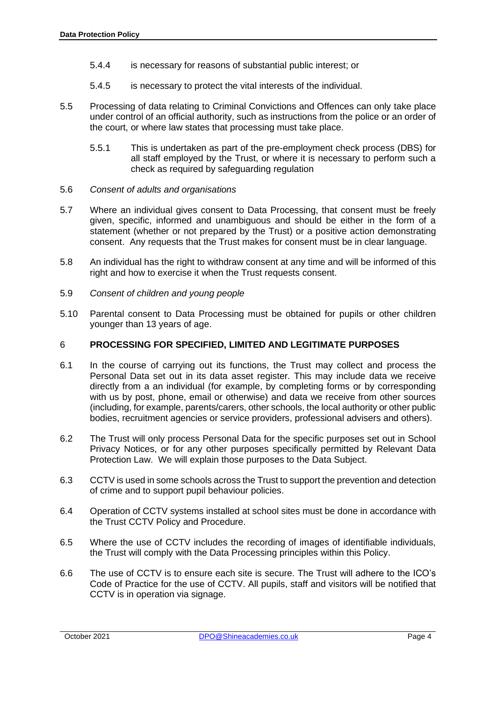- 5.4.4 is necessary for reasons of substantial public interest; or
- 5.4.5 is necessary to protect the vital interests of the individual.
- 5.5 Processing of data relating to Criminal Convictions and Offences can only take place under control of an official authority, such as instructions from the police or an order of the court, or where law states that processing must take place.
	- 5.5.1 This is undertaken as part of the pre-employment check process (DBS) for all staff employed by the Trust, or where it is necessary to perform such a check as required by safeguarding regulation
- 5.6 *Consent of adults and organisations*
- 5.7 Where an individual gives consent to Data Processing, that consent must be freely given, specific, informed and unambiguous and should be either in the form of a statement (whether or not prepared by the Trust) or a positive action demonstrating consent. Any requests that the Trust makes for consent must be in clear language.
- 5.8 An individual has the right to withdraw consent at any time and will be informed of this right and how to exercise it when the Trust requests consent.
- 5.9 *Consent of children and young people*
- 5.10 Parental consent to Data Processing must be obtained for pupils or other children younger than 13 years of age.

#### 6 **PROCESSING FOR SPECIFIED, LIMITED AND LEGITIMATE PURPOSES**

- 6.1 In the course of carrying out its functions, the Trust may collect and process the Personal Data set out in its data asset register. This may include data we receive directly from a an individual (for example, by completing forms or by corresponding with us by post, phone, email or otherwise) and data we receive from other sources (including, for example, parents/carers, other schools, the local authority or other public bodies, recruitment agencies or service providers, professional advisers and others).
- 6.2 The Trust will only process Personal Data for the specific purposes set out in School Privacy Notices, or for any other purposes specifically permitted by Relevant Data Protection Law. We will explain those purposes to the Data Subject.
- 6.3 CCTV is used in some schools across the Trust to support the prevention and detection of crime and to support pupil behaviour policies.
- 6.4 Operation of CCTV systems installed at school sites must be done in accordance with the Trust CCTV Policy and Procedure.
- 6.5 Where the use of CCTV includes the recording of images of identifiable individuals, the Trust will comply with the Data Processing principles within this Policy.
- 6.6 The use of CCTV is to ensure each site is secure. The Trust will adhere to the ICO's Code of Practice for the use of CCTV. All pupils, staff and visitors will be notified that CCTV is in operation via signage.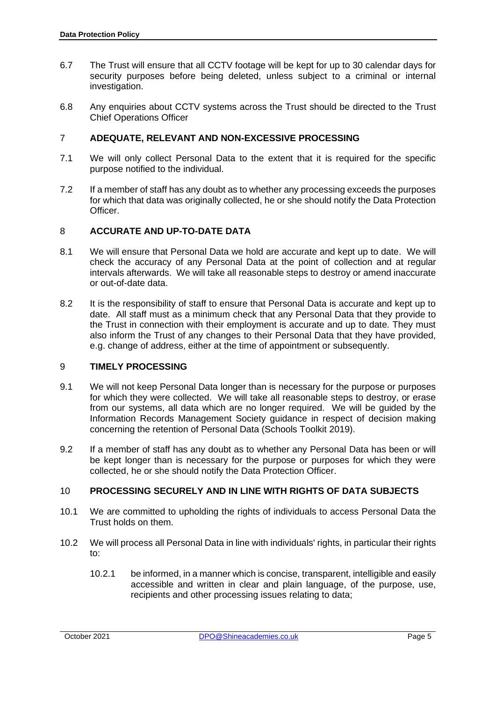- 6.7 The Trust will ensure that all CCTV footage will be kept for up to 30 calendar days for security purposes before being deleted, unless subject to a criminal or internal investigation.
- 6.8 Any enquiries about CCTV systems across the Trust should be directed to the Trust Chief Operations Officer

## 7 **ADEQUATE, RELEVANT AND NON-EXCESSIVE PROCESSING**

- 7.1 We will only collect Personal Data to the extent that it is required for the specific purpose notified to the individual.
- 7.2 If a member of staff has any doubt as to whether any processing exceeds the purposes for which that data was originally collected, he or she should notify the Data Protection Officer.

#### 8 **ACCURATE AND UP-TO-DATE DATA**

- 8.1 We will ensure that Personal Data we hold are accurate and kept up to date. We will check the accuracy of any Personal Data at the point of collection and at regular intervals afterwards. We will take all reasonable steps to destroy or amend inaccurate or out-of-date data.
- 8.2 It is the responsibility of staff to ensure that Personal Data is accurate and kept up to date. All staff must as a minimum check that any Personal Data that they provide to the Trust in connection with their employment is accurate and up to date. They must also inform the Trust of any changes to their Personal Data that they have provided, e.g. change of address, either at the time of appointment or subsequently.

#### 9 **TIMELY PROCESSING**

- 9.1 We will not keep Personal Data longer than is necessary for the purpose or purposes for which they were collected. We will take all reasonable steps to destroy, or erase from our systems, all data which are no longer required. We will be guided by the Information Records Management Society guidance in respect of decision making concerning the retention of Personal Data (Schools Toolkit 2019).
- 9.2 If a member of staff has any doubt as to whether any Personal Data has been or will be kept longer than is necessary for the purpose or purposes for which they were collected, he or she should notify the Data Protection Officer.

# 10 **PROCESSING SECURELY AND IN LINE WITH RIGHTS OF DATA SUBJECTS**

- 10.1 We are committed to upholding the rights of individuals to access Personal Data the Trust holds on them.
- 10.2 We will process all Personal Data in line with individuals' rights, in particular their rights to:
	- 10.2.1 be informed, in a manner which is concise, transparent, intelligible and easily accessible and written in clear and plain language, of the purpose, use, recipients and other processing issues relating to data;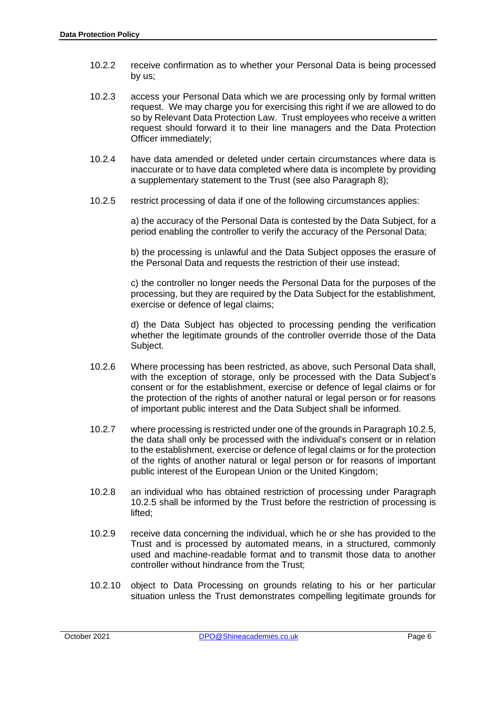- 10.2.2 receive confirmation as to whether your Personal Data is being processed by us;
- 10.2.3 access your Personal Data which we are processing only by formal written request. We may charge you for exercising this right if we are allowed to do so by Relevant Data Protection Law. Trust employees who receive a written request should forward it to their line managers and the Data Protection Officer immediately;
- 10.2.4 have data amended or deleted under certain circumstances where data is inaccurate or to have data completed where data is incomplete by providing a supplementary statement to the Trust (see also Paragraph 8);
- 10.2.5 restrict processing of data if one of the following circumstances applies:

a) the accuracy of the Personal Data is contested by the Data Subject, for a period enabling the controller to verify the accuracy of the Personal Data;

b) the processing is unlawful and the Data Subject opposes the erasure of the Personal Data and requests the restriction of their use instead;

c) the controller no longer needs the Personal Data for the purposes of the processing, but they are required by the Data Subject for the establishment, exercise or defence of legal claims;

d) the Data Subject has objected to processing pending the verification whether the legitimate grounds of the controller override those of the Data Subject.

- 10.2.6 Where processing has been restricted, as above, such Personal Data shall, with the exception of storage, only be processed with the Data Subject's consent or for the establishment, exercise or defence of legal claims or for the protection of the rights of another natural or legal person or for reasons of important public interest and the Data Subject shall be informed.
- 10.2.7 where processing is restricted under one of the grounds in Paragraph 10.2.5, the data shall only be processed with the individual's consent or in relation to the establishment, exercise or defence of legal claims or for the protection of the rights of another natural or legal person or for reasons of important public interest of the European Union or the United Kingdom;
- 10.2.8 an individual who has obtained restriction of processing under Paragraph 10.2.5 shall be informed by the Trust before the restriction of processing is lifted;
- 10.2.9 receive data concerning the individual, which he or she has provided to the Trust and is processed by automated means, in a structured, commonly used and machine-readable format and to transmit those data to another controller without hindrance from the Trust;
- 10.2.10 object to Data Processing on grounds relating to his or her particular situation unless the Trust demonstrates compelling legitimate grounds for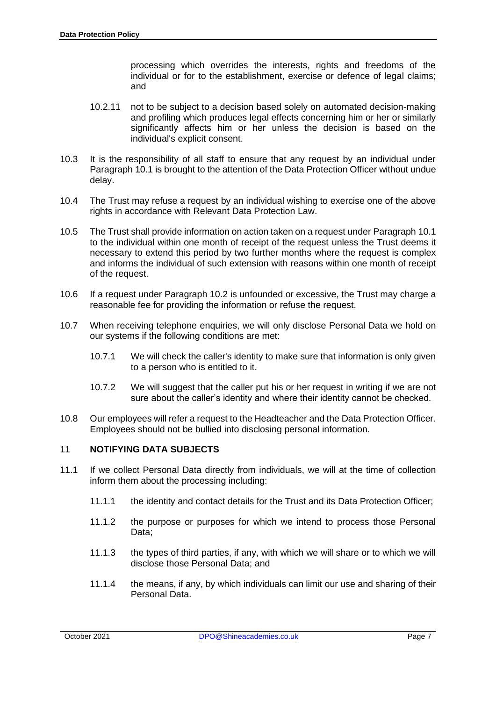processing which overrides the interests, rights and freedoms of the individual or for to the establishment, exercise or defence of legal claims; and

- 10.2.11 not to be subject to a decision based solely on automated decision-making and profiling which produces legal effects concerning him or her or similarly significantly affects him or her unless the decision is based on the individual's explicit consent.
- 10.3 It is the responsibility of all staff to ensure that any request by an individual under Paragraph 10.1 is brought to the attention of the Data Protection Officer without undue delay.
- 10.4 The Trust may refuse a request by an individual wishing to exercise one of the above rights in accordance with Relevant Data Protection Law.
- 10.5 The Trust shall provide information on action taken on a request under Paragraph 10.1 to the individual within one month of receipt of the request unless the Trust deems it necessary to extend this period by two further months where the request is complex and informs the individual of such extension with reasons within one month of receipt of the request.
- 10.6 If a request under Paragraph 10.2 is unfounded or excessive, the Trust may charge a reasonable fee for providing the information or refuse the request.
- 10.7 When receiving telephone enquiries, we will only disclose Personal Data we hold on our systems if the following conditions are met:
	- 10.7.1 We will check the caller's identity to make sure that information is only given to a person who is entitled to it.
	- 10.7.2 We will suggest that the caller put his or her request in writing if we are not sure about the caller's identity and where their identity cannot be checked.
- 10.8 Our employees will refer a request to the Headteacher and the Data Protection Officer. Employees should not be bullied into disclosing personal information.

# 11 **NOTIFYING DATA SUBJECTS**

- 11.1 If we collect Personal Data directly from individuals, we will at the time of collection inform them about the processing including:
	- 11.1.1 the identity and contact details for the Trust and its Data Protection Officer;
	- 11.1.2 the purpose or purposes for which we intend to process those Personal Data;
	- 11.1.3 the types of third parties, if any, with which we will share or to which we will disclose those Personal Data; and
	- 11.1.4 the means, if any, by which individuals can limit our use and sharing of their Personal Data.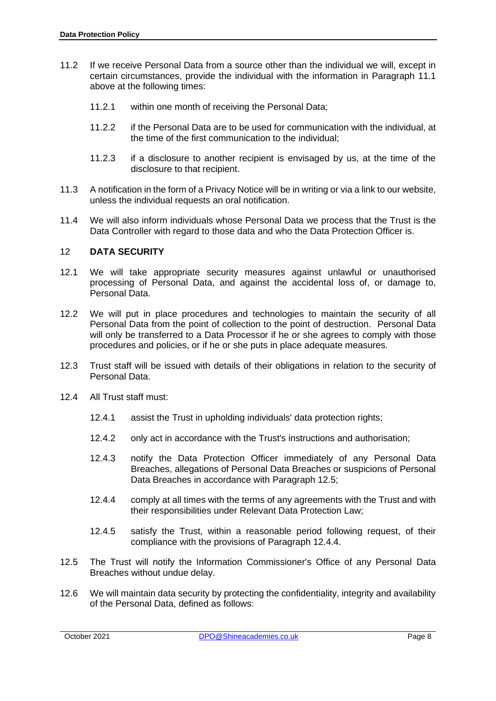- 11.2 If we receive Personal Data from a source other than the individual we will, except in certain circumstances, provide the individual with the information in Paragraph 11.1 above at the following times:
	- 11.2.1 within one month of receiving the Personal Data;
	- 11.2.2 if the Personal Data are to be used for communication with the individual, at the time of the first communication to the individual;
	- 11.2.3 if a disclosure to another recipient is envisaged by us, at the time of the disclosure to that recipient.
- 11.3 A notification in the form of a Privacy Notice will be in writing or via a link to our website, unless the individual requests an oral notification.
- 11.4 We will also inform individuals whose Personal Data we process that the Trust is the Data Controller with regard to those data and who the Data Protection Officer is.

#### 12 **DATA SECURITY**

- 12.1 We will take appropriate security measures against unlawful or unauthorised processing of Personal Data, and against the accidental loss of, or damage to, Personal Data.
- 12.2 We will put in place procedures and technologies to maintain the security of all Personal Data from the point of collection to the point of destruction. Personal Data will only be transferred to a Data Processor if he or she agrees to comply with those procedures and policies, or if he or she puts in place adequate measures.
- 12.3 Trust staff will be issued with details of their obligations in relation to the security of Personal Data.
- 12.4 All Trust staff must:
	- 12.4.1 assist the Trust in upholding individuals' data protection rights;
	- 12.4.2 only act in accordance with the Trust's instructions and authorisation;
	- 12.4.3 notify the Data Protection Officer immediately of any Personal Data Breaches, allegations of Personal Data Breaches or suspicions of Personal Data Breaches in accordance with Paragraph 12.5;
	- 12.4.4 comply at all times with the terms of any agreements with the Trust and with their responsibilities under Relevant Data Protection Law;
	- 12.4.5 satisfy the Trust, within a reasonable period following request, of their compliance with the provisions of Paragraph 12.4.4.
- 12.5 The Trust will notify the Information Commissioner's Office of any Personal Data Breaches without undue delay.
- 12.6 We will maintain data security by protecting the confidentiality, integrity and availability of the Personal Data, defined as follows: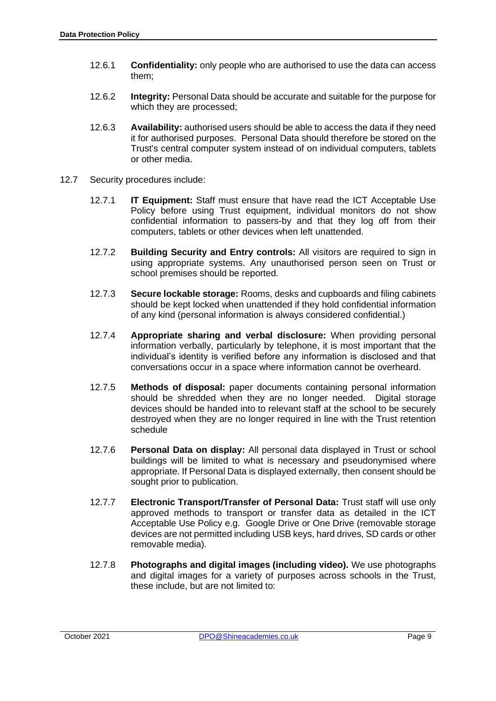- 12.6.1 **Confidentiality:** only people who are authorised to use the data can access them;
- 12.6.2 **Integrity:** Personal Data should be accurate and suitable for the purpose for which they are processed;
- 12.6.3 **Availability:** authorised users should be able to access the data if they need it for authorised purposes. Personal Data should therefore be stored on the Trust's central computer system instead of on individual computers, tablets or other media.
- 12.7 Security procedures include:
	- 12.7.1 **IT Equipment:** Staff must ensure that have read the ICT Acceptable Use Policy before using Trust equipment, individual monitors do not show confidential information to passers-by and that they log off from their computers, tablets or other devices when left unattended.
	- 12.7.2 **Building Security and Entry controls:** All visitors are required to sign in using appropriate systems. Any unauthorised person seen on Trust or school premises should be reported.
	- 12.7.3 **Secure lockable storage:** Rooms, desks and cupboards and filing cabinets should be kept locked when unattended if they hold confidential information of any kind (personal information is always considered confidential.)
	- 12.7.4 **Appropriate sharing and verbal disclosure:** When providing personal information verbally, particularly by telephone, it is most important that the individual's identity is verified before any information is disclosed and that conversations occur in a space where information cannot be overheard.
	- 12.7.5 **Methods of disposal:** paper documents containing personal information should be shredded when they are no longer needed. Digital storage devices should be handed into to relevant staff at the school to be securely destroyed when they are no longer required in line with the Trust retention schedule
	- 12.7.6 **Personal Data on display:** All personal data displayed in Trust or school buildings will be limited to what is necessary and pseudonymised where appropriate. If Personal Data is displayed externally, then consent should be sought prior to publication.
	- 12.7.7 **Electronic Transport/Transfer of Personal Data:** Trust staff will use only approved methods to transport or transfer data as detailed in the ICT Acceptable Use Policy e.g. Google Drive or One Drive (removable storage devices are not permitted including USB keys, hard drives, SD cards or other removable media).
	- 12.7.8 **Photographs and digital images (including video).** We use photographs and digital images for a variety of purposes across schools in the Trust, these include, but are not limited to: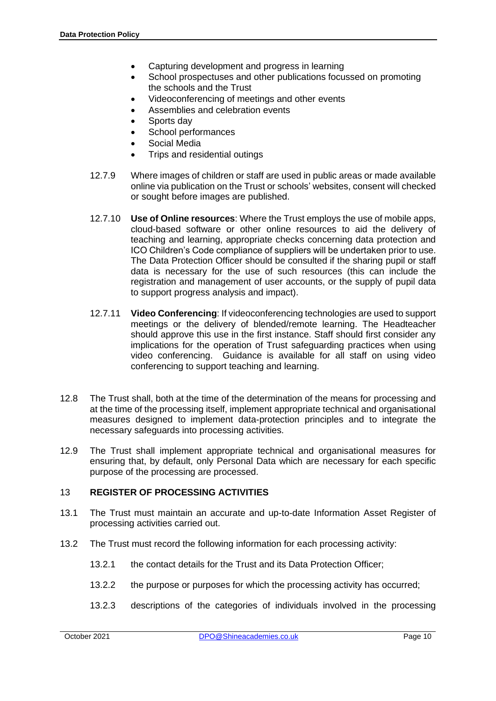- Capturing development and progress in learning
- School prospectuses and other publications focussed on promoting the schools and the Trust
- Videoconferencing of meetings and other events
- Assemblies and celebration events
- Sports day
- School performances
- Social Media
- Trips and residential outings
- 12.7.9 Where images of children or staff are used in public areas or made available online via publication on the Trust or schools' websites, consent will checked or sought before images are published.
- 12.7.10 **Use of Online resources**: Where the Trust employs the use of mobile apps, cloud-based software or other online resources to aid the delivery of teaching and learning, appropriate checks concerning data protection and ICO Children's Code compliance of suppliers will be undertaken prior to use. The Data Protection Officer should be consulted if the sharing pupil or staff data is necessary for the use of such resources (this can include the registration and management of user accounts, or the supply of pupil data to support progress analysis and impact).
- 12.7.11 **Video Conferencing**: If videoconferencing technologies are used to support meetings or the delivery of blended/remote learning. The Headteacher should approve this use in the first instance. Staff should first consider any implications for the operation of Trust safeguarding practices when using video conferencing. Guidance is available for all staff on using video conferencing to support teaching and learning.
- 12.8 The Trust shall, both at the time of the determination of the means for processing and at the time of the processing itself, implement appropriate technical and organisational measures designed to implement data-protection principles and to integrate the necessary safeguards into processing activities.
- 12.9 The Trust shall implement appropriate technical and organisational measures for ensuring that, by default, only Personal Data which are necessary for each specific purpose of the processing are processed.

#### 13 **REGISTER OF PROCESSING ACTIVITIES**

- 13.1 The Trust must maintain an accurate and up-to-date Information Asset Register of processing activities carried out.
- 13.2 The Trust must record the following information for each processing activity:
	- 13.2.1 the contact details for the Trust and its Data Protection Officer;
	- 13.2.2 the purpose or purposes for which the processing activity has occurred;
	- 13.2.3 descriptions of the categories of individuals involved in the processing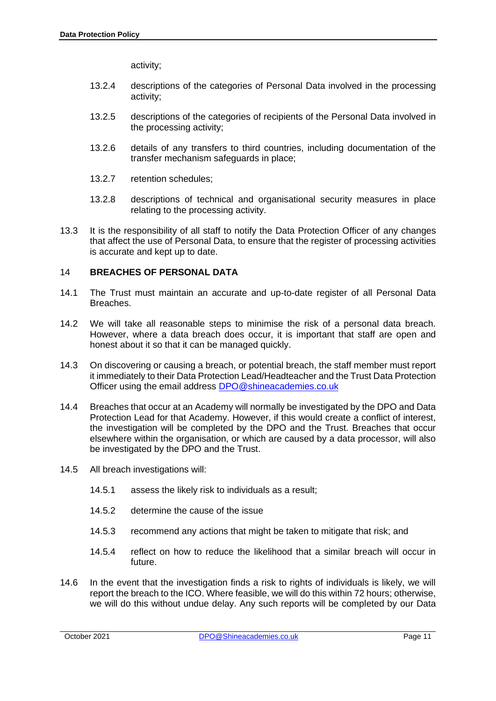activity;

- 13.2.4 descriptions of the categories of Personal Data involved in the processing activity;
- 13.2.5 descriptions of the categories of recipients of the Personal Data involved in the processing activity;
- 13.2.6 details of any transfers to third countries, including documentation of the transfer mechanism safeguards in place;
- 13.2.7 retention schedules;
- 13.2.8 descriptions of technical and organisational security measures in place relating to the processing activity.
- 13.3 It is the responsibility of all staff to notify the Data Protection Officer of any changes that affect the use of Personal Data, to ensure that the register of processing activities is accurate and kept up to date.

## 14 **BREACHES OF PERSONAL DATA**

- 14.1 The Trust must maintain an accurate and up-to-date register of all Personal Data Breaches.
- 14.2 We will take all reasonable steps to minimise the risk of a personal data breach. However, where a data breach does occur, it is important that staff are open and honest about it so that it can be managed quickly.
- 14.3 On discovering or causing a breach, or potential breach, the staff member must report it immediately to their Data Protection Lead/Headteacher and the Trust Data Protection Officer using the email address [DPO@shineacademies.co.uk](mailto:DPO@shineacademies.co.uk)
- 14.4 Breaches that occur at an Academy will normally be investigated by the DPO and Data Protection Lead for that Academy. However, if this would create a conflict of interest, the investigation will be completed by the DPO and the Trust. Breaches that occur elsewhere within the organisation, or which are caused by a data processor, will also be investigated by the DPO and the Trust.
- 14.5 All breach investigations will:
	- 14.5.1 assess the likely risk to individuals as a result;
	- 14.5.2 determine the cause of the issue
	- 14.5.3 recommend any actions that might be taken to mitigate that risk; and
	- 14.5.4 reflect on how to reduce the likelihood that a similar breach will occur in future.
- 14.6 In the event that the investigation finds a risk to rights of individuals is likely, we will report the breach to the ICO. Where feasible, we will do this within 72 hours; otherwise, we will do this without undue delay. Any such reports will be completed by our Data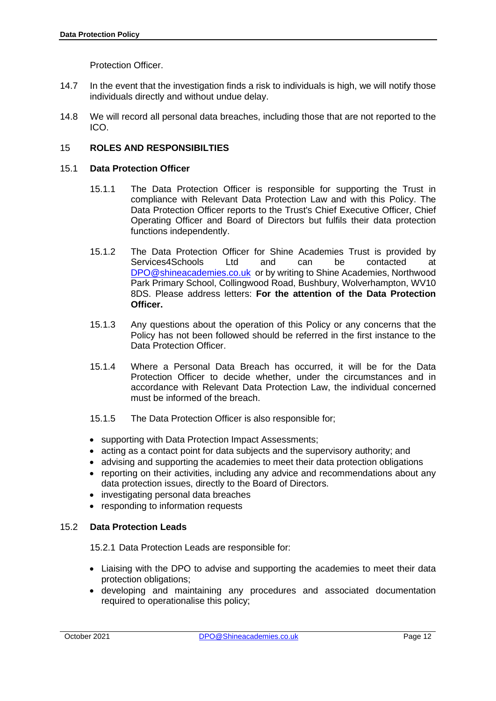Protection Officer.

- 14.7 In the event that the investigation finds a risk to individuals is high, we will notify those individuals directly and without undue delay.
- 14.8 We will record all personal data breaches, including those that are not reported to the ICO.

## 15 **ROLES AND RESPONSIBILTIES**

#### 15.1 **Data Protection Officer**

- 15.1.1 The Data Protection Officer is responsible for supporting the Trust in compliance with Relevant Data Protection Law and with this Policy. The Data Protection Officer reports to the Trust's Chief Executive Officer, Chief Operating Officer and Board of Directors but fulfils their data protection functions independently.
- 15.1.2 The Data Protection Officer for Shine Academies Trust is provided by Services4Schools Ltd and can be contacted at [DPO@shineacademies.co.uk](mailto:DPO@shineacademies.co.uk) or by writing to Shine Academies, Northwood Park Primary School, Collingwood Road, Bushbury, Wolverhampton, WV10 8DS. Please address letters: **For the attention of the Data Protection Officer.**
- 15.1.3 Any questions about the operation of this Policy or any concerns that the Policy has not been followed should be referred in the first instance to the Data Protection Officer.
- 15.1.4 Where a Personal Data Breach has occurred, it will be for the Data Protection Officer to decide whether, under the circumstances and in accordance with Relevant Data Protection Law, the individual concerned must be informed of the breach.
- 15.1.5 The Data Protection Officer is also responsible for;
- supporting with Data Protection Impact Assessments;
- acting as a contact point for data subjects and the supervisory authority; and
- advising and supporting the academies to meet their data protection obligations
- reporting on their activities, including any advice and recommendations about any data protection issues, directly to the Board of Directors.
- investigating personal data breaches
- responding to information requests

#### 15.2 **Data Protection Leads**

15.2.1 Data Protection Leads are responsible for:

- Liaising with the DPO to advise and supporting the academies to meet their data protection obligations;
- developing and maintaining any procedures and associated documentation required to operationalise this policy;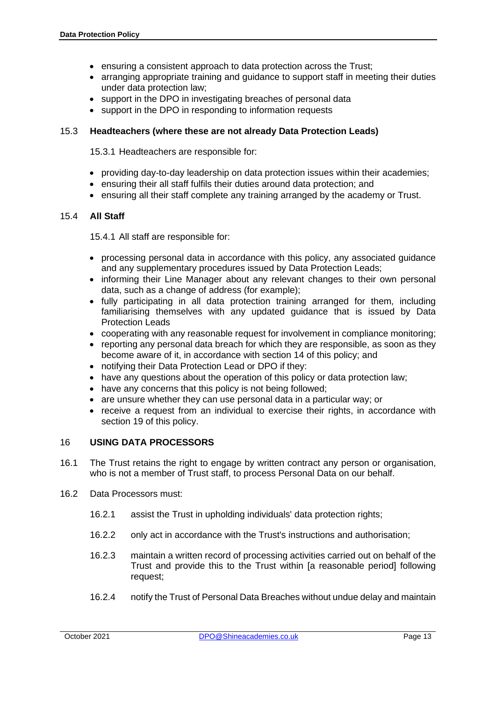- ensuring a consistent approach to data protection across the Trust;
- arranging appropriate training and guidance to support staff in meeting their duties under data protection law;
- support in the DPO in investigating breaches of personal data
- support in the DPO in responding to information requests

## 15.3 **Headteachers (where these are not already Data Protection Leads)**

15.3.1 Headteachers are responsible for:

- providing day-to-day leadership on data protection issues within their academies;
- ensuring their all staff fulfils their duties around data protection; and
- ensuring all their staff complete any training arranged by the academy or Trust.

#### 15.4 **All Staff**

15.4.1 All staff are responsible for:

- processing personal data in accordance with this policy, any associated guidance and any supplementary procedures issued by Data Protection Leads;
- informing their Line Manager about any relevant changes to their own personal data, such as a change of address (for example);
- fully participating in all data protection training arranged for them, including familiarising themselves with any updated guidance that is issued by Data Protection Leads
- cooperating with any reasonable request for involvement in compliance monitoring;
- reporting any personal data breach for which they are responsible, as soon as they become aware of it, in accordance with section 14 of this policy; and
- notifying their Data Protection Lead or DPO if they:
- have any questions about the operation of this policy or data protection law;
- have any concerns that this policy is not being followed;
- are unsure whether they can use personal data in a particular way; or
- receive a request from an individual to exercise their rights, in accordance with section 19 of this policy.

## 16 **USING DATA PROCESSORS**

- 16.1 The Trust retains the right to engage by written contract any person or organisation, who is not a member of Trust staff, to process Personal Data on our behalf.
- 16.2 Data Processors must:
	- 16.2.1 assist the Trust in upholding individuals' data protection rights;
	- 16.2.2 only act in accordance with the Trust's instructions and authorisation;
	- 16.2.3 maintain a written record of processing activities carried out on behalf of the Trust and provide this to the Trust within [a reasonable period] following request;
	- 16.2.4 notify the Trust of Personal Data Breaches without undue delay and maintain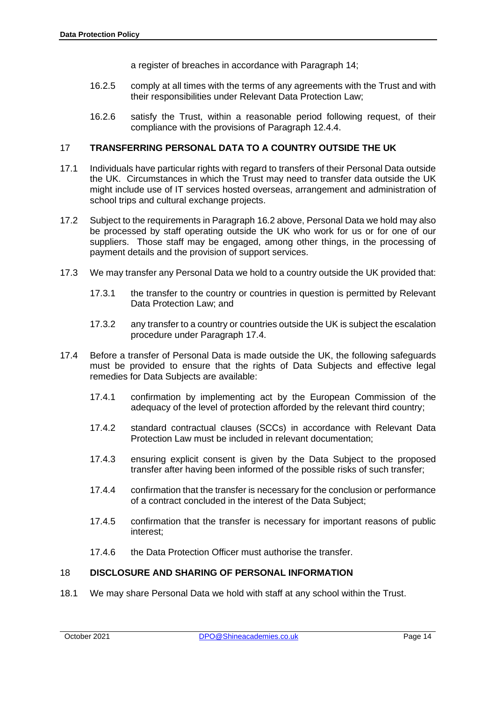a register of breaches in accordance with Paragraph 14;

- 16.2.5 comply at all times with the terms of any agreements with the Trust and with their responsibilities under Relevant Data Protection Law;
- 16.2.6 satisfy the Trust, within a reasonable period following request, of their compliance with the provisions of Paragraph 12.4.4.

#### 17 **TRANSFERRING PERSONAL DATA TO A COUNTRY OUTSIDE THE UK**

- 17.1 Individuals have particular rights with regard to transfers of their Personal Data outside the UK. Circumstances in which the Trust may need to transfer data outside the UK might include use of IT services hosted overseas, arrangement and administration of school trips and cultural exchange projects.
- 17.2 Subject to the requirements in Paragraph 16.2 above, Personal Data we hold may also be processed by staff operating outside the UK who work for us or for one of our suppliers. Those staff may be engaged, among other things, in the processing of payment details and the provision of support services.
- 17.3 We may transfer any Personal Data we hold to a country outside the UK provided that:
	- 17.3.1 the transfer to the country or countries in question is permitted by Relevant Data Protection Law; and
	- 17.3.2 any transfer to a country or countries outside the UK is subject the escalation procedure under Paragraph 17.4.
- 17.4 Before a transfer of Personal Data is made outside the UK, the following safeguards must be provided to ensure that the rights of Data Subjects and effective legal remedies for Data Subjects are available:
	- 17.4.1 confirmation by implementing act by the European Commission of the adequacy of the level of protection afforded by the relevant third country;
	- 17.4.2 standard contractual clauses (SCCs) in accordance with Relevant Data Protection Law must be included in relevant documentation;
	- 17.4.3 ensuring explicit consent is given by the Data Subject to the proposed transfer after having been informed of the possible risks of such transfer;
	- 17.4.4 confirmation that the transfer is necessary for the conclusion or performance of a contract concluded in the interest of the Data Subject;
	- 17.4.5 confirmation that the transfer is necessary for important reasons of public interest;
	- 17.4.6 the Data Protection Officer must authorise the transfer.

#### 18 **DISCLOSURE AND SHARING OF PERSONAL INFORMATION**

18.1 We may share Personal Data we hold with staff at any school within the Trust.